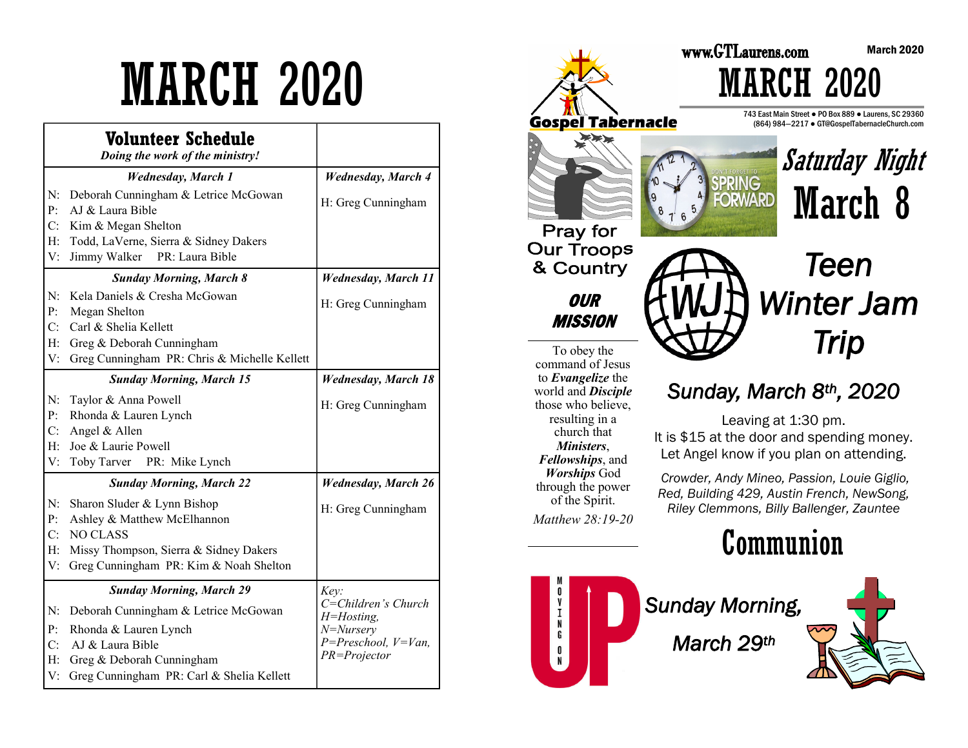# MARCH 2020

|             | Volunteer Schedule<br>Doing the work of the ministry!                     |                                   |
|-------------|---------------------------------------------------------------------------|-----------------------------------|
|             | <b>Wednesday</b> , March 1                                                | <b>Wednesday</b> , March 4        |
| N:<br>P:    | Deborah Cunningham & Letrice McGowan<br>AJ & Laura Bible                  | H: Greg Cunningham                |
| C:          | Kim & Megan Shelton                                                       |                                   |
| H:          | Todd, LaVerne, Sierra & Sidney Dakers                                     |                                   |
| V:          | Jimmy Walker PR: Laura Bible                                              |                                   |
|             | <b>Sunday Morning, March 8</b>                                            | <b>Wednesday</b> , March 11       |
| N:<br>P:    | Kela Daniels & Cresha McGowan<br>Megan Shelton                            | H: Greg Cunningham                |
| C:          | Carl & Shelia Kellett                                                     |                                   |
| $H$ :<br>V: | Greg & Deborah Cunningham<br>Greg Cunningham PR: Chris & Michelle Kellett |                                   |
|             |                                                                           |                                   |
|             | <b>Sunday Morning, March 15</b>                                           | <b>Wednesday</b> , March 18       |
| N:          | Taylor & Anna Powell                                                      | H: Greg Cunningham                |
| P:          | Rhonda & Lauren Lynch                                                     |                                   |
| C:          | Angel & Allen                                                             |                                   |
| H:<br>V:    | Joe & Laurie Powell<br>Toby Tarver PR: Mike Lynch                         |                                   |
|             |                                                                           |                                   |
|             | <b>Sunday Morning, March 22</b>                                           | <b>Wednesday, March 26</b>        |
| N:          | Sharon Sluder & Lynn Bishop                                               | H: Greg Cunningham                |
| P:          | Ashley & Matthew McElhannon                                               |                                   |
| C:          | <b>NO CLASS</b>                                                           |                                   |
| H:          | Missy Thompson, Sierra & Sidney Dakers                                    |                                   |
| V:          | Greg Cunningham PR: Kim & Noah Shelton                                    |                                   |
|             | <b>Sunday Morning, March 29</b>                                           | Key:                              |
| N:          | Deborah Cunningham & Letrice McGowan                                      | C=Children's Church<br>H=Hosting, |
| P:          | Rhonda & Lauren Lynch                                                     | N=Nursery                         |
| C:          | AJ & Laura Bible                                                          | $P = Preschool, V = Van,$         |
| H:          | Greg & Deborah Cunningham                                                 | PR=Projector                      |
| V:          | Greg Cunningham PR: Carl & Shelia Kellett                                 |                                   |